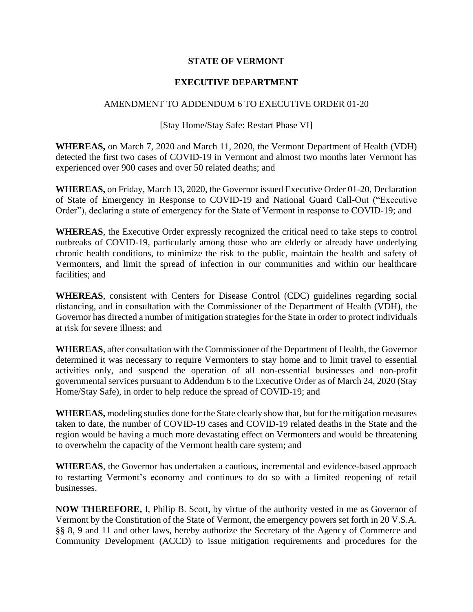## **STATE OF VERMONT**

## **EXECUTIVE DEPARTMENT**

## AMENDMENT TO ADDENDUM 6 TO EXECUTIVE ORDER 01-20

## [Stay Home/Stay Safe: Restart Phase VI]

**WHEREAS,** on March 7, 2020 and March 11, 2020, the Vermont Department of Health (VDH) detected the first two cases of COVID-19 in Vermont and almost two months later Vermont has experienced over 900 cases and over 50 related deaths; and

**WHEREAS,** on Friday, March 13, 2020, the Governor issued Executive Order 01-20, Declaration of State of Emergency in Response to COVID-19 and National Guard Call-Out ("Executive Order"), declaring a state of emergency for the State of Vermont in response to COVID-19; and

**WHEREAS**, the Executive Order expressly recognized the critical need to take steps to control outbreaks of COVID-19, particularly among those who are elderly or already have underlying chronic health conditions, to minimize the risk to the public, maintain the health and safety of Vermonters, and limit the spread of infection in our communities and within our healthcare facilities; and

**WHEREAS**, consistent with Centers for Disease Control (CDC) guidelines regarding social distancing, and in consultation with the Commissioner of the Department of Health (VDH), the Governor has directed a number of mitigation strategies for the State in order to protect individuals at risk for severe illness; and

**WHEREAS**, after consultation with the Commissioner of the Department of Health, the Governor determined it was necessary to require Vermonters to stay home and to limit travel to essential activities only, and suspend the operation of all non-essential businesses and non-profit governmental services pursuant to Addendum 6 to the Executive Order as of March 24, 2020 (Stay Home/Stay Safe), in order to help reduce the spread of COVID-19; and

**WHEREAS,** modeling studies done for the State clearly show that, but for the mitigation measures taken to date, the number of COVID-19 cases and COVID-19 related deaths in the State and the region would be having a much more devastating effect on Vermonters and would be threatening to overwhelm the capacity of the Vermont health care system; and

**WHEREAS**, the Governor has undertaken a cautious, incremental and evidence-based approach to restarting Vermont's economy and continues to do so with a limited reopening of retail businesses.

**NOW THEREFORE,** I, Philip B. Scott, by virtue of the authority vested in me as Governor of Vermont by the Constitution of the State of Vermont, the emergency powers set forth in 20 V.S.A. §§ 8, 9 and 11 and other laws, hereby authorize the Secretary of the Agency of Commerce and Community Development (ACCD) to issue mitigation requirements and procedures for the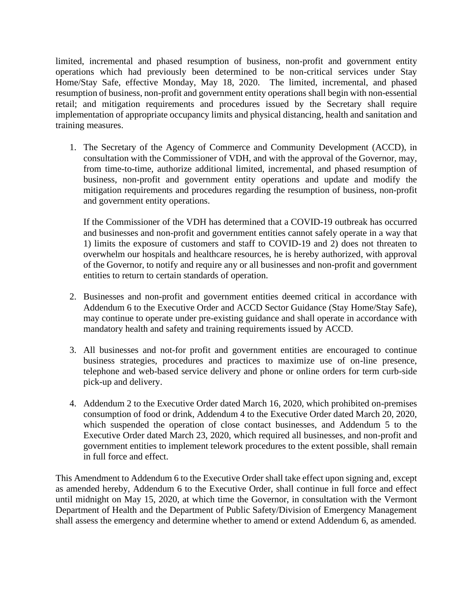limited, incremental and phased resumption of business, non-profit and government entity operations which had previously been determined to be non-critical services under Stay Home/Stay Safe, effective Monday, May 18, 2020. The limited, incremental, and phased resumption of business, non-profit and government entity operations shall begin with non-essential retail; and mitigation requirements and procedures issued by the Secretary shall require implementation of appropriate occupancy limits and physical distancing, health and sanitation and training measures.

1. The Secretary of the Agency of Commerce and Community Development (ACCD), in consultation with the Commissioner of VDH, and with the approval of the Governor, may, from time-to-time, authorize additional limited, incremental, and phased resumption of business, non-profit and government entity operations and update and modify the mitigation requirements and procedures regarding the resumption of business, non-profit and government entity operations.

If the Commissioner of the VDH has determined that a COVID-19 outbreak has occurred and businesses and non-profit and government entities cannot safely operate in a way that 1) limits the exposure of customers and staff to COVID-19 and 2) does not threaten to overwhelm our hospitals and healthcare resources, he is hereby authorized, with approval of the Governor, to notify and require any or all businesses and non-profit and government entities to return to certain standards of operation.

- 2. Businesses and non-profit and government entities deemed critical in accordance with Addendum 6 to the Executive Order and ACCD Sector Guidance (Stay Home/Stay Safe), may continue to operate under pre-existing guidance and shall operate in accordance with mandatory health and safety and training requirements issued by ACCD.
- 3. All businesses and not-for profit and government entities are encouraged to continue business strategies, procedures and practices to maximize use of on-line presence, telephone and web-based service delivery and phone or online orders for term curb-side pick-up and delivery.
- 4. Addendum 2 to the Executive Order dated March 16, 2020, which prohibited on-premises consumption of food or drink, Addendum 4 to the Executive Order dated March 20, 2020, which suspended the operation of close contact businesses, and Addendum 5 to the Executive Order dated March 23, 2020, which required all businesses, and non-profit and government entities to implement telework procedures to the extent possible, shall remain in full force and effect.

This Amendment to Addendum 6 to the Executive Order shall take effect upon signing and, except as amended hereby, Addendum 6 to the Executive Order, shall continue in full force and effect until midnight on May 15, 2020, at which time the Governor, in consultation with the Vermont Department of Health and the Department of Public Safety/Division of Emergency Management shall assess the emergency and determine whether to amend or extend Addendum 6, as amended.